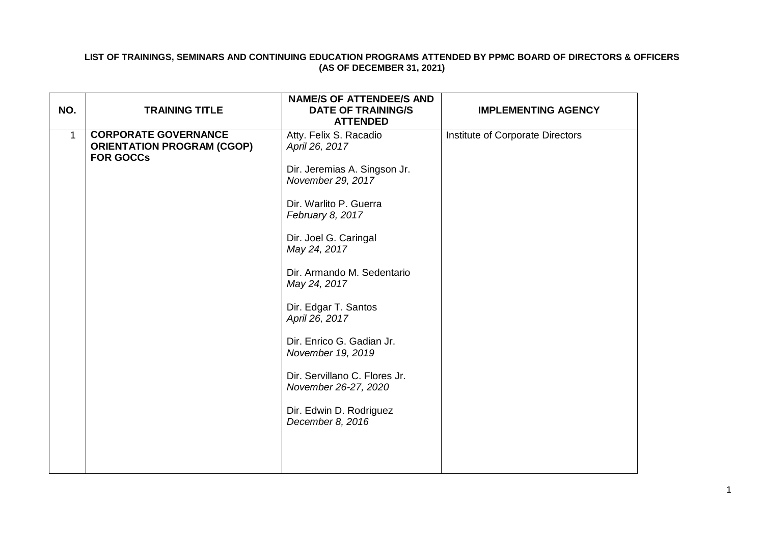## **LIST OF TRAININGS, SEMINARS AND CONTINUING EDUCATION PROGRAMS ATTENDED BY PPMC BOARD OF DIRECTORS & OFFICERS (AS OF DECEMBER 31, 2021)**

|     |                                   | <b>NAME/S OF ATTENDEE/S AND</b> |                                  |
|-----|-----------------------------------|---------------------------------|----------------------------------|
| NO. | <b>TRAINING TITLE</b>             | <b>DATE OF TRAINING/S</b>       | <b>IMPLEMENTING AGENCY</b>       |
|     |                                   | <b>ATTENDED</b>                 |                                  |
| 1   | <b>CORPORATE GOVERNANCE</b>       | Atty. Felix S. Racadio          | Institute of Corporate Directors |
|     | <b>ORIENTATION PROGRAM (CGOP)</b> | April 26, 2017                  |                                  |
|     | <b>FOR GOCCs</b>                  |                                 |                                  |
|     |                                   | Dir. Jeremias A. Singson Jr.    |                                  |
|     |                                   | November 29, 2017               |                                  |
|     |                                   |                                 |                                  |
|     |                                   | Dir. Warlito P. Guerra          |                                  |
|     |                                   | February 8, 2017                |                                  |
|     |                                   |                                 |                                  |
|     |                                   | Dir. Joel G. Caringal           |                                  |
|     |                                   | May 24, 2017                    |                                  |
|     |                                   | Dir. Armando M. Sedentario      |                                  |
|     |                                   | May 24, 2017                    |                                  |
|     |                                   |                                 |                                  |
|     |                                   | Dir. Edgar T. Santos            |                                  |
|     |                                   | April 26, 2017                  |                                  |
|     |                                   |                                 |                                  |
|     |                                   | Dir. Enrico G. Gadian Jr.       |                                  |
|     |                                   | November 19, 2019               |                                  |
|     |                                   |                                 |                                  |
|     |                                   | Dir. Servillano C. Flores Jr.   |                                  |
|     |                                   | November 26-27, 2020            |                                  |
|     |                                   |                                 |                                  |
|     |                                   | Dir. Edwin D. Rodriguez         |                                  |
|     |                                   | December 8, 2016                |                                  |
|     |                                   |                                 |                                  |
|     |                                   |                                 |                                  |
|     |                                   |                                 |                                  |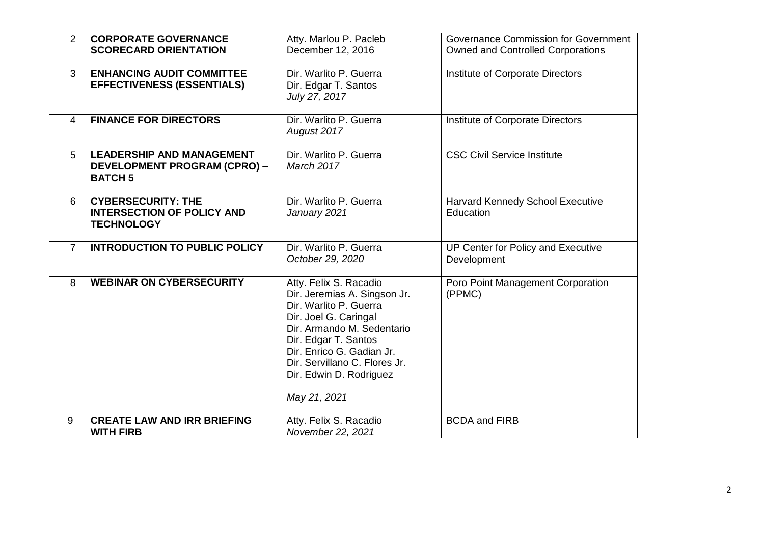| 2              | <b>CORPORATE GOVERNANCE</b><br><b>SCORECARD ORIENTATION</b>                               | Atty. Marlou P. Pacleb<br>December 12, 2016                                                                                                                                                                                                                              | Governance Commission for Government<br><b>Owned and Controlled Corporations</b> |
|----------------|-------------------------------------------------------------------------------------------|--------------------------------------------------------------------------------------------------------------------------------------------------------------------------------------------------------------------------------------------------------------------------|----------------------------------------------------------------------------------|
| 3              | <b>ENHANCING AUDIT COMMITTEE</b><br><b>EFFECTIVENESS (ESSENTIALS)</b>                     | Dir. Warlito P. Guerra<br>Dir. Edgar T. Santos<br>July 27, 2017                                                                                                                                                                                                          | Institute of Corporate Directors                                                 |
| 4              | <b>FINANCE FOR DIRECTORS</b>                                                              | Dir. Warlito P. Guerra<br>August 2017                                                                                                                                                                                                                                    | Institute of Corporate Directors                                                 |
| 5              | <b>LEADERSHIP AND MANAGEMENT</b><br><b>DEVELOPMENT PROGRAM (CPRO) -</b><br><b>BATCH 5</b> | Dir. Warlito P. Guerra<br><b>March 2017</b>                                                                                                                                                                                                                              | <b>CSC Civil Service Institute</b>                                               |
| 6              | <b>CYBERSECURITY: THE</b><br><b>INTERSECTION OF POLICY AND</b><br><b>TECHNOLOGY</b>       | Dir. Warlito P. Guerra<br>January 2021                                                                                                                                                                                                                                   | Harvard Kennedy School Executive<br>Education                                    |
| $\overline{7}$ | <b>INTRODUCTION TO PUBLIC POLICY</b>                                                      | Dir. Warlito P. Guerra<br>October 29, 2020                                                                                                                                                                                                                               | UP Center for Policy and Executive<br>Development                                |
| 8              | <b>WEBINAR ON CYBERSECURITY</b>                                                           | Atty. Felix S. Racadio<br>Dir. Jeremias A. Singson Jr.<br>Dir. Warlito P. Guerra<br>Dir. Joel G. Caringal<br>Dir. Armando M. Sedentario<br>Dir. Edgar T. Santos<br>Dir. Enrico G. Gadian Jr.<br>Dir. Servillano C. Flores Jr.<br>Dir. Edwin D. Rodriguez<br>May 21, 2021 | Poro Point Management Corporation<br>(PPMC)                                      |
| 9              | <b>CREATE LAW AND IRR BRIEFING</b><br><b>WITH FIRB</b>                                    | Atty. Felix S. Racadio<br>November 22, 2021                                                                                                                                                                                                                              | <b>BCDA and FIRB</b>                                                             |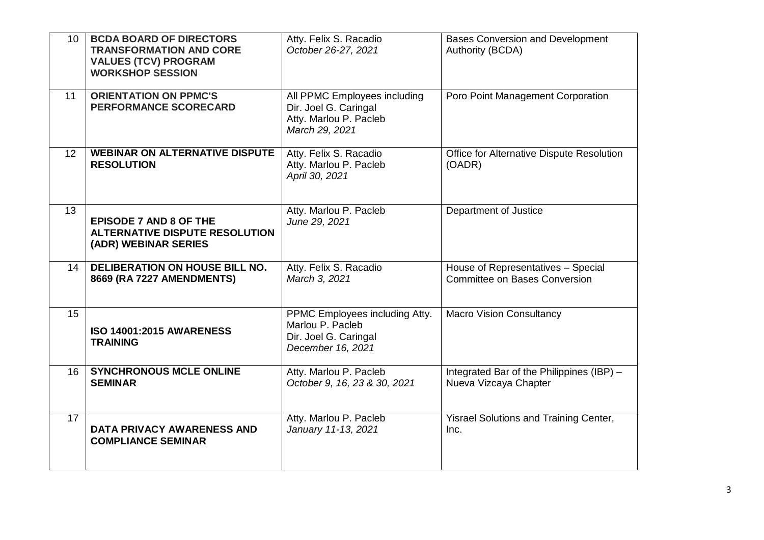| 10 | <b>BCDA BOARD OF DIRECTORS</b><br><b>TRANSFORMATION AND CORE</b><br><b>VALUES (TCV) PROGRAM</b><br><b>WORKSHOP SESSION</b> | Atty. Felix S. Racadio<br>October 26-27, 2021                                                     | <b>Bases Conversion and Development</b><br>Authority (BCDA)                |
|----|----------------------------------------------------------------------------------------------------------------------------|---------------------------------------------------------------------------------------------------|----------------------------------------------------------------------------|
| 11 | <b>ORIENTATION ON PPMC'S</b><br><b>PERFORMANCE SCORECARD</b>                                                               | All PPMC Employees including<br>Dir. Joel G. Caringal<br>Atty. Marlou P. Pacleb<br>March 29, 2021 | Poro Point Management Corporation                                          |
| 12 | <b>WEBINAR ON ALTERNATIVE DISPUTE</b><br><b>RESOLUTION</b>                                                                 | Atty. Felix S. Racadio<br>Atty. Marlou P. Pacleb<br>April 30, 2021                                | Office for Alternative Dispute Resolution<br>(OADR)                        |
| 13 | <b>EPISODE 7 AND 8 OF THE</b><br><b>ALTERNATIVE DISPUTE RESOLUTION</b><br>(ADR) WEBINAR SERIES                             | Atty. Marlou P. Pacleb<br>June 29, 2021                                                           | Department of Justice                                                      |
| 14 | DELIBERATION ON HOUSE BILL NO.<br>8669 (RA 7227 AMENDMENTS)                                                                | Atty. Felix S. Racadio<br>March 3, 2021                                                           | House of Representatives - Special<br><b>Committee on Bases Conversion</b> |
| 15 | <b>ISO 14001:2015 AWARENESS</b><br><b>TRAINING</b>                                                                         | PPMC Employees including Atty.<br>Marlou P. Pacleb<br>Dir. Joel G. Caringal<br>December 16, 2021  | <b>Macro Vision Consultancy</b>                                            |
| 16 | <b>SYNCHRONOUS MCLE ONLINE</b><br><b>SEMINAR</b>                                                                           | Atty. Marlou P. Pacleb<br>October 9, 16, 23 & 30, 2021                                            | Integrated Bar of the Philippines (IBP) -<br>Nueva Vizcaya Chapter         |
| 17 | <b>DATA PRIVACY AWARENESS AND</b><br><b>COMPLIANCE SEMINAR</b>                                                             | Atty. Marlou P. Pacleb<br>January 11-13, 2021                                                     | Yisrael Solutions and Training Center,<br>Inc.                             |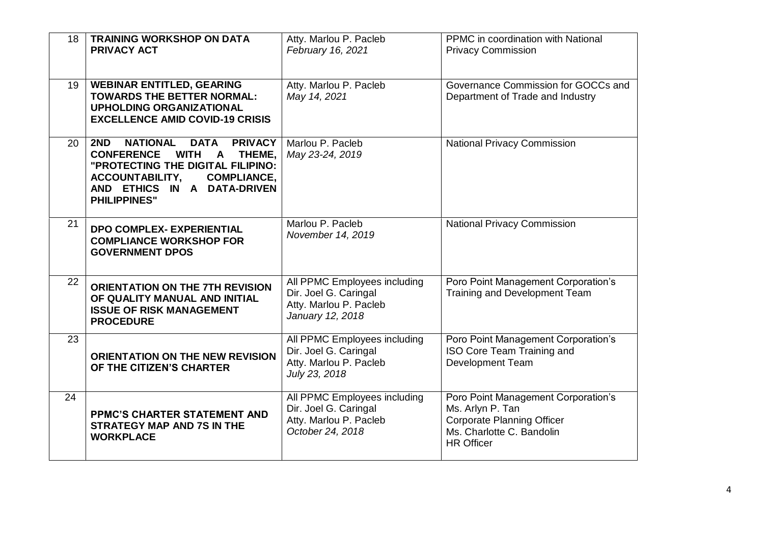| 18 | <b>TRAINING WORKSHOP ON DATA</b><br><b>PRIVACY ACT</b>                                                                                                                                                                                             | Atty. Marlou P. Pacleb<br>February 16, 2021                                                         | PPMC in coordination with National<br><b>Privacy Commission</b>                                                                                |
|----|----------------------------------------------------------------------------------------------------------------------------------------------------------------------------------------------------------------------------------------------------|-----------------------------------------------------------------------------------------------------|------------------------------------------------------------------------------------------------------------------------------------------------|
| 19 | <b>WEBINAR ENTITLED, GEARING</b><br><b>TOWARDS THE BETTER NORMAL:</b><br><b>UPHOLDING ORGANIZATIONAL</b><br><b>EXCELLENCE AMID COVID-19 CRISIS</b>                                                                                                 | Atty. Marlou P. Pacleb<br>May 14, 2021                                                              | Governance Commission for GOCCs and<br>Department of Trade and Industry                                                                        |
| 20 | <b>PRIVACY</b><br>2ND<br><b>NATIONAL</b><br><b>DATA</b><br><b>CONFERENCE</b><br><b>WITH</b><br>A THEME,<br>"PROTECTING THE DIGITAL FILIPINO:<br><b>ACCOUNTABILITY,</b><br><b>COMPLIANCE,</b><br>AND ETHICS IN A DATA-DRIVEN<br><b>PHILIPPINES"</b> | Marlou P. Pacleb<br>May 23-24, 2019                                                                 | <b>National Privacy Commission</b>                                                                                                             |
| 21 | <b>DPO COMPLEX- EXPERIENTIAL</b><br><b>COMPLIANCE WORKSHOP FOR</b><br><b>GOVERNMENT DPOS</b>                                                                                                                                                       | Marlou P. Pacleb<br>November 14, 2019                                                               | <b>National Privacy Commission</b>                                                                                                             |
| 22 | <b>ORIENTATION ON THE 7TH REVISION</b><br>OF QUALITY MANUAL AND INITIAL<br><b>ISSUE OF RISK MANAGEMENT</b><br><b>PROCEDURE</b>                                                                                                                     | All PPMC Employees including<br>Dir. Joel G. Caringal<br>Atty. Marlou P. Pacleb<br>January 12, 2018 | Poro Point Management Corporation's<br>Training and Development Team                                                                           |
| 23 | <b>ORIENTATION ON THE NEW REVISION</b><br>OF THE CITIZEN'S CHARTER                                                                                                                                                                                 | All PPMC Employees including<br>Dir. Joel G. Caringal<br>Atty. Marlou P. Pacleb<br>July 23, 2018    | Poro Point Management Corporation's<br>ISO Core Team Training and<br><b>Development Team</b>                                                   |
| 24 | <b>PPMC'S CHARTER STATEMENT AND</b><br><b>STRATEGY MAP AND 7S IN THE</b><br><b>WORKPLACE</b>                                                                                                                                                       | All PPMC Employees including<br>Dir. Joel G. Caringal<br>Atty. Marlou P. Pacleb<br>October 24, 2018 | Poro Point Management Corporation's<br>Ms. Arlyn P. Tan<br><b>Corporate Planning Officer</b><br>Ms. Charlotte C. Bandolin<br><b>HR Officer</b> |